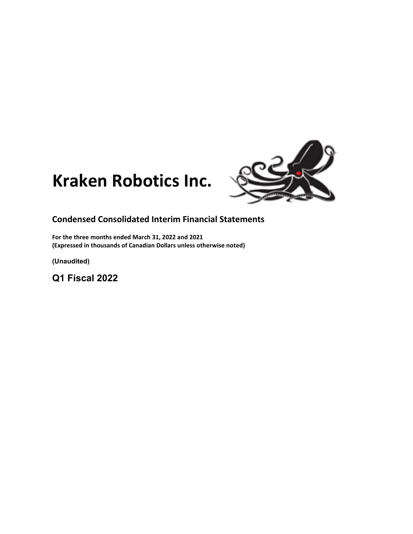



# **Condensed Consolidated Interim Financial Statements**

**For the three months ended March 31, 2022 and 2021 (Expressed in thousands of Canadian Dollars unless otherwise noted)**

**(Unaudited)**

**Q1 Fiscal 2022**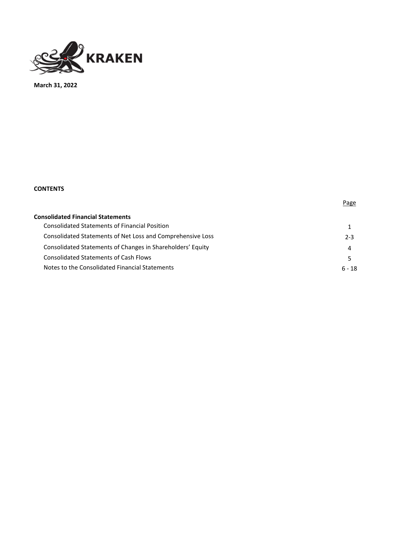

**March 31, 2022**

# **CONTENTS**

| <b>Consolidated Financial Statements</b>                   |         |
|------------------------------------------------------------|---------|
|                                                            |         |
| <b>Consolidated Statements of Financial Position</b>       |         |
| Consolidated Statements of Net Loss and Comprehensive Loss | $2 - 3$ |
| Consolidated Statements of Changes in Shareholders' Equity | Δ       |
| <b>Consolidated Statements of Cash Flows</b>               |         |
| Notes to the Consolidated Financial Statements             | ճ - 18  |

Page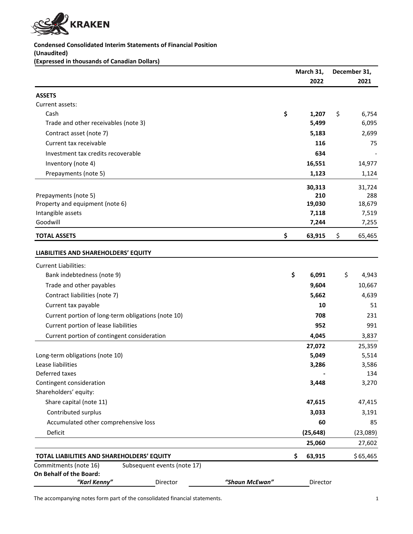

# **Condensed Consolidated Interim Statements of Financial Position**

**(Unaudited)**

**(Expressed in thousands of Canadian Dollars)**

|                                                                                 |                | March 31,     |    | December 31,  |
|---------------------------------------------------------------------------------|----------------|---------------|----|---------------|
|                                                                                 |                | 2022          |    | 2021          |
| <b>ASSETS</b>                                                                   |                |               |    |               |
| Current assets:                                                                 |                |               |    |               |
| Cash                                                                            |                | \$<br>1,207   | \$ | 6,754         |
| Trade and other receivables (note 3)                                            |                | 5,499         |    | 6,095         |
| Contract asset (note 7)                                                         |                | 5,183         |    | 2,699         |
| Current tax receivable                                                          |                | 116           |    | 75            |
| Investment tax credits recoverable                                              |                | 634           |    |               |
| Inventory (note 4)                                                              |                | 16,551        |    | 14,977        |
| Prepayments (note 5)                                                            |                | 1,123         |    | 1,124         |
|                                                                                 |                |               |    |               |
| Prepayments (note 5)                                                            |                | 30,313<br>210 |    | 31,724<br>288 |
| Property and equipment (note 6)                                                 |                | 19,030        |    | 18,679        |
| Intangible assets                                                               |                | 7,118         |    | 7,519         |
| Goodwill                                                                        |                | 7,244         |    | 7,255         |
| <b>TOTAL ASSETS</b>                                                             |                | \$<br>63,915  | \$ | 65,465        |
| LIABILITIES AND SHAREHOLDERS' EQUITY                                            |                |               |    |               |
|                                                                                 |                |               |    |               |
| <b>Current Liabilities:</b>                                                     |                |               |    |               |
| Bank indebtedness (note 9)                                                      |                | \$<br>6,091   | \$ | 4,943         |
| Trade and other payables                                                        |                | 9,604         |    | 10,667        |
| Contract liabilities (note 7)                                                   |                | 5,662         |    | 4,639         |
| Current tax payable                                                             |                | 10            |    | 51            |
| Current portion of long-term obligations (note 10)                              |                | 708           |    | 231           |
| Current portion of lease liabilities                                            |                | 952           |    | 991           |
| Current portion of contingent consideration                                     |                | 4,045         |    | 3,837         |
|                                                                                 |                | 27,072        |    | 25,359        |
| Long-term obligations (note 10)                                                 |                | 5,049         |    | 5,514         |
| Lease liabilities                                                               |                | 3,286         |    | 3,586         |
| Deferred taxes                                                                  |                |               |    | 134           |
| Contingent consideration                                                        |                | 3,448         |    | 3,270         |
| Shareholders' equity:                                                           |                |               |    |               |
| Share capital (note 11)                                                         |                | 47,615        |    | 47,415        |
| Contributed surplus                                                             |                | 3,033         |    | 3,191         |
| Accumulated other comprehensive loss                                            |                | 60            |    | 85            |
| Deficit                                                                         |                | (25, 648)     |    | (23,089)      |
|                                                                                 |                | 25,060        |    | 27,602        |
| TOTAL LIABILITIES AND SHAREHOLDERS' EQUITY                                      |                | \$<br>63,915  |    | \$65,465      |
| Commitments (note 16)<br>Subsequent events (note 17)<br>On Behalf of the Board: |                |               |    |               |
| "Karl Kenny"<br>Director                                                        | "Shaun McEwan" | Director      |    |               |

The accompanying notes form part of the consolidated financial statements. The accompanying notes form part of the consolidated financial statements.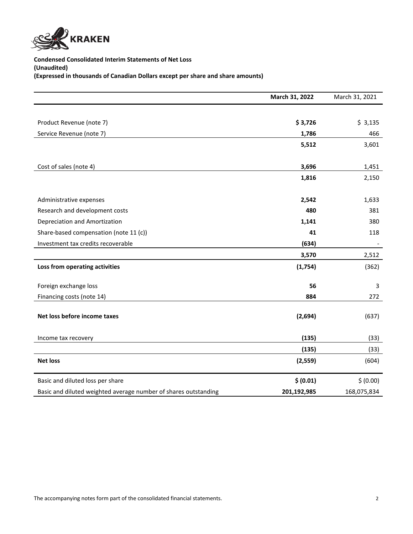

**Condensed Consolidated Interim Statements of Net Loss (Unaudited) (Expressed in thousands of Canadian Dollars except per share and share amounts)**

|                                                                 | March 31, 2022 | March 31, 2021 |
|-----------------------------------------------------------------|----------------|----------------|
|                                                                 |                |                |
| Product Revenue (note 7)                                        | \$3,726        | \$3,135        |
| Service Revenue (note 7)                                        | 1,786          | 466            |
|                                                                 | 5,512          | 3,601          |
|                                                                 |                |                |
| Cost of sales (note 4)                                          | 3,696          | 1,451          |
|                                                                 | 1,816          | 2,150          |
|                                                                 |                |                |
| Administrative expenses                                         | 2,542          | 1,633          |
| Research and development costs                                  | 480            | 381            |
| Depreciation and Amortization                                   | 1,141          | 380            |
| Share-based compensation (note 11 (c))                          | 41             | 118            |
| Investment tax credits recoverable                              | (634)          |                |
|                                                                 | 3,570          | 2,512          |
| Loss from operating activities                                  | (1,754)        | (362)          |
|                                                                 |                |                |
| Foreign exchange loss                                           | 56             | 3              |
| Financing costs (note 14)                                       | 884            | 272            |
|                                                                 |                |                |
| Net loss before income taxes                                    | (2,694)        | (637)          |
| Income tax recovery                                             | (135)          | (33)           |
|                                                                 | (135)          | (33)           |
| <b>Net loss</b>                                                 | (2,559)        | (604)          |
|                                                                 |                |                |
| Basic and diluted loss per share                                | \$ (0.01)      | \$ (0.00)      |
| Basic and diluted weighted average number of shares outstanding | 201,192,985    | 168,075,834    |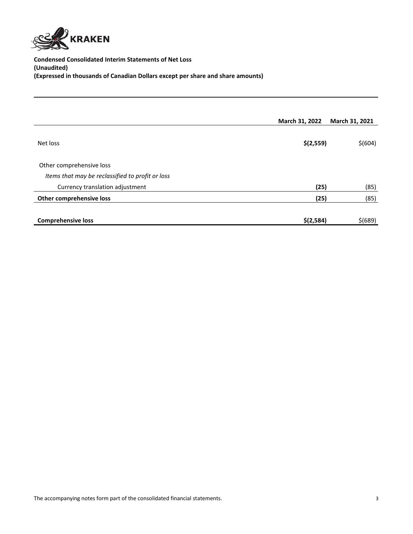

**Condensed Consolidated Interim Statements of Net Loss (Unaudited) (Expressed in thousands of Canadian Dollars except per share and share amounts)**

|                                                  | March 31, 2022 | March 31, 2021 |
|--------------------------------------------------|----------------|----------------|
| Net loss                                         | \$(2,559)      | \$(604)        |
| Other comprehensive loss                         |                |                |
| Items that may be reclassified to profit or loss |                |                |
| Currency translation adjustment                  | (25)           | (85)           |
| Other comprehensive loss                         | (25)           | (85)           |
| <b>Comprehensive loss</b>                        | \$(2,584)      | $$$ (689)      |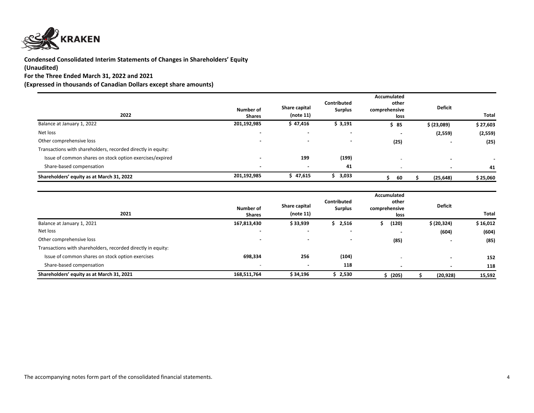

# **Condensed Consolidated Interim Statements of Changes in Shareholders' Equity**

# **(Unaudited)**

**For the Three Ended March 31, 2022 and 2021**

**(Expressed in thousands of Canadian Dollars except share amounts)**

| 2022                                                         | Number of<br><b>Shares</b> | Share capital<br>(note 11) | Contributed<br><b>Surplus</b> | Accumulated<br>other<br>comprehensive<br>loss | <b>Deficit</b>           | <b>Total</b> |
|--------------------------------------------------------------|----------------------------|----------------------------|-------------------------------|-----------------------------------------------|--------------------------|--------------|
| Balance at January 1, 2022                                   | 201,192,985                | \$47,416                   | \$3,191                       | \$85                                          | \$ (23,089)              | \$27,603     |
| Net loss                                                     | $\blacksquare$             | $\,$                       |                               |                                               | (2,559)                  | (2, 559)     |
| Other comprehensive loss                                     | $\,$                       | $\sim$                     |                               | (25)                                          | $\overline{\phantom{0}}$ | (25)         |
| Transactions with shareholders, recorded directly in equity: |                            |                            |                               |                                               |                          |              |
| Issue of common shares on stock option exercises/expired     | $\overline{\phantom{a}}$   | 199                        | (199)                         |                                               | $\blacksquare$           |              |
| Share-based compensation                                     | $\blacksquare$             | $\blacksquare$             | 41                            | $\overline{\phantom{0}}$                      | $\blacksquare$           | 41           |
| Shareholders' equity as at March 31, 2022                    | 201,192,985                | \$47,615                   | 3,033                         | 60                                            | (25, 648)                | \$25,060     |

| 2021                                                         | Number of<br><b>Shares</b> | Share capital<br>(note 11) | Contributed<br><b>Surplus</b> | Accumulated<br>other<br>comprehensive<br>loss | <b>Deficit</b>           | Total    |
|--------------------------------------------------------------|----------------------------|----------------------------|-------------------------------|-----------------------------------------------|--------------------------|----------|
| Balance at January 1, 2021                                   | 167,813,430                | \$33,939                   | \$2,516                       | (120)                                         | \$ (20, 324)             | \$16,012 |
| Net loss                                                     | $\,$ $\,$                  | $\blacksquare$             | $\overline{\phantom{0}}$      |                                               | (604)                    | (604)    |
| Other comprehensive loss                                     | $\overline{\phantom{a}}$   | $\,$ $\,$                  | $\,$ $\,$                     | (85)                                          | $\overline{\phantom{0}}$ | (85)     |
| Transactions with shareholders, recorded directly in equity: |                            |                            |                               |                                               |                          |          |
| Issue of common shares on stock option exercises             | 698,334                    | 256                        | (104)                         | $\overline{\phantom{0}}$                      | $\blacksquare$           | 152      |
| Share-based compensation                                     | $\overline{\phantom{a}}$   | $\blacksquare$             | 118                           | $\sim$                                        | $\blacksquare$           | 118      |
| Shareholders' equity as at March 31, 2021                    | 168,511,764                | \$34,196                   | \$2,530                       | (205)                                         | (20, 928)                | 15,592   |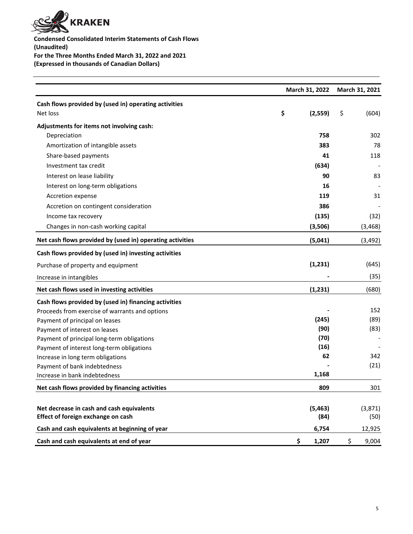

**Condensed Consolidated Interim Statements of Cash Flows (Unaudited) For the Three Months Ended March 31, 2022 and 2021 (Expressed in thousands of Canadian Dollars)**

|                                                           | March 31, 2022 | March 31, 2021 |  |
|-----------------------------------------------------------|----------------|----------------|--|
| Cash flows provided by (used in) operating activities     |                |                |  |
| Net loss                                                  | \$<br>(2,559)  | \$<br>(604)    |  |
| Adjustments for items not involving cash:                 |                |                |  |
| Depreciation                                              | 758            | 302            |  |
| Amortization of intangible assets                         | 383            | 78             |  |
| Share-based payments                                      | 41             | 118            |  |
| Investment tax credit                                     | (634)          |                |  |
| Interest on lease liability                               | 90             | 83             |  |
| Interest on long-term obligations                         | 16             |                |  |
| Accretion expense                                         | 119            | 31             |  |
| Accretion on contingent consideration                     | 386            |                |  |
| Income tax recovery                                       | (135)          | (32)           |  |
| Changes in non-cash working capital                       | (3,506)        | (3, 468)       |  |
| Net cash flows provided by (used in) operating activities | (5,041)        | (3, 492)       |  |
| Cash flows provided by (used in) investing activities     |                |                |  |
| Purchase of property and equipment                        | (1, 231)       | (645)          |  |
| Increase in intangibles                                   |                | (35)           |  |
| Net cash flows used in investing activities               | (1,231)        | (680)          |  |
| Cash flows provided by (used in) financing activities     |                |                |  |
| Proceeds from exercise of warrants and options            |                | 152            |  |
| Payment of principal on leases                            | (245)          | (89)           |  |
| Payment of interest on leases                             | (90)           | (83)           |  |
| Payment of principal long-term obligations                | (70)           |                |  |
| Payment of interest long-term obligations                 | (16)           |                |  |
| Increase in long term obligations                         | 62             | 342            |  |
| Payment of bank indebtedness                              |                | (21)           |  |
| Increase in bank indebtedness                             | 1,168          |                |  |
| Net cash flows provided by financing activities           | 809            | 301            |  |
| Net decrease in cash and cash equivalents                 | (5, 463)       | (3, 871)       |  |
| Effect of foreign exchange on cash                        | (84)           | (50)           |  |
| Cash and cash equivalents at beginning of year            | 6,754          | 12,925         |  |
| Cash and cash equivalents at end of year                  | \$<br>1,207    | \$<br>9,004    |  |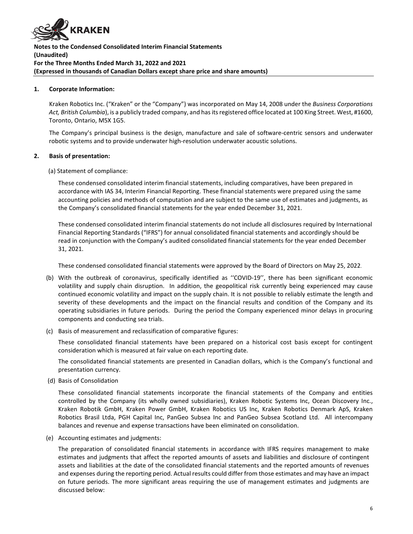

#### **1. Corporate Information:**

Kraken Robotics Inc. ("Kraken" or the "Company") was incorporated on May 14, 2008 under the *Business Corporations Act, British Columbia*), is a publicly traded company, and has its registered office located at 100 King Street. West, #1600, Toronto, Ontario, M5X 1G5.

The Company's principal business is the design, manufacture and sale of software-centric sensors and underwater robotic systems and to provide underwater high-resolution underwater acoustic solutions.

#### **2. Basis of presentation:**

(a) Statement of compliance:

These condensed consolidated interim financial statements, including comparatives, have been prepared in accordance with IAS 34, Interim Financial Reporting. These financial statements were prepared using the same accounting policies and methods of computation and are subject to the same use of estimates and judgments, as the Company's consolidated financial statements for the year ended December 31, 2021.

These condensed consolidated interim financial statements do not include all disclosures required by International Financial Reporting Standards ("IFRS") for annual consolidated financial statements and accordingly should be read in conjunction with the Company's audited consolidated financial statements for the year ended December 31, 2021.

These condensed consolidated financial statements were approved by the Board of Directors on May 25, 2022.

- (b) With the outbreak of coronavirus, specifically identified as ''COVID-19'', there has been significant economic volatility and supply chain disruption. In addition, the geopolitical risk currently being experienced may cause continued economic volatility and impact on the supply chain. It is not possible to reliably estimate the length and severity of these developments and the impact on the financial results and condition of the Company and its operating subsidiaries in future periods. During the period the Company experienced minor delays in procuring components and conducting sea trials.
- (c) Basis of measurement and reclassification of comparative figures:

These consolidated financial statements have been prepared on a historical cost basis except for contingent consideration which is measured at fair value on each reporting date.

The consolidated financial statements are presented in Canadian dollars, which is the Company's functional and presentation currency.

(d) Basis of Consolidation

These consolidated financial statements incorporate the financial statements of the Company and entities controlled by the Company (its wholly owned subsidiaries), Kraken Robotic Systems Inc, Ocean Discovery Inc., Kraken Robotik GmbH, Kraken Power GmbH, Kraken Robotics US Inc, Kraken Robotics Denmark ApS, Kraken Robotics Brasil Ltda, PGH Capital Inc, PanGeo Subsea Inc and PanGeo Subsea Scotland Ltd. All intercompany balances and revenue and expense transactions have been eliminated on consolidation.

(e) Accounting estimates and judgments:

The preparation of consolidated financial statements in accordance with IFRS requires management to make estimates and judgments that affect the reported amounts of assets and liabilities and disclosure of contingent assets and liabilities at the date of the consolidated financial statements and the reported amounts of revenues and expenses during the reporting period. Actual results could differ from those estimates and may have an impact on future periods. The more significant areas requiring the use of management estimates and judgments are discussed below: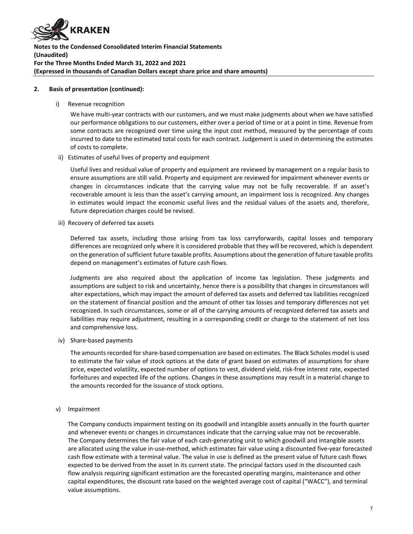

#### **2. Basis of presentation (continued):**

i) Revenue recognition

We have multi-year contracts with our customers, and we must make judgments about when we have satisfied our performance obligations to our customers, either over a period of time or at a point in time. Revenue from some contracts are recognized over time using the input cost method, measured by the percentage of costs incurred to date to the estimated total costs for each contract. Judgement is used in determining the estimates of costs to complete.

ii) Estimates of useful lives of property and equipment

Useful lives and residual value of property and equipment are reviewed by management on a regular basis to ensure assumptions are still valid. Property and equipment are reviewed for impairment whenever events or changes in circumstances indicate that the carrying value may not be fully recoverable. If an asset's recoverable amount is less than the asset's carrying amount, an impairment loss is recognized. Any changes in estimates would impact the economic useful lives and the residual values of the assets and, therefore, future depreciation charges could be revised.

iii) Recovery of deferred tax assets

Deferred tax assets, including those arising from tax loss carryforwards, capital losses and temporary differences are recognized only where it is considered probable that they will be recovered, which is dependent on the generation of sufficient future taxable profits. Assumptions about the generation of future taxable profits depend on management's estimates of future cash flows.

Judgments are also required about the application of income tax legislation. These judgments and assumptions are subject to risk and uncertainty, hence there is a possibility that changes in circumstances will alter expectations, which may impact the amount of deferred tax assets and deferred tax liabilities recognized on the statement of financial position and the amount of other tax losses and temporary differences not yet recognized. In such circumstances, some or all of the carrying amounts of recognized deferred tax assets and liabilities may require adjustment, resulting in a corresponding credit or charge to the statement of net loss and comprehensive loss.

iv) Share-based payments

The amounts recorded for share-based compensation are based on estimates. The Black Scholes model is used to estimate the fair value of stock options at the date of grant based on estimates of assumptions for share price, expected volatility, expected number of options to vest, dividend yield, risk-free interest rate, expected forfeitures and expected life of the options. Changes in these assumptions may result in a material change to the amounts recorded for the issuance of stock options.

v) Impairment

The Company conducts impairment testing on its goodwill and intangible assets annually in the fourth quarter and whenever events or changes in circumstances indicate that the carrying value may not be recoverable. The Company determines the fair value of each cash-generating unit to which goodwill and intangible assets are allocated using the value in-use-method, which estimates fair value using a discounted five-year forecasted cash flow estimate with a terminal value. The value in use is defined as the present value of future cash flows expected to be derived from the asset in its current state. The principal factors used in the discounted cash flow analysis requiring significant estimation are the forecasted operating margins, maintenance and other capital expenditures, the discount rate based on the weighted average cost of capital ("WACC"), and terminal value assumptions.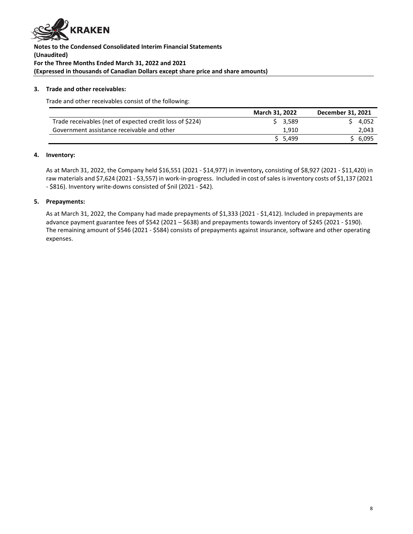

# **3. Trade and other receivables:**

Trade and other receivables consist of the following:

|                                                          | <b>March 31, 2022</b> | December 31, 2021 |
|----------------------------------------------------------|-----------------------|-------------------|
| Trade receivables (net of expected credit loss of \$224) | \$3.589               | 4.052             |
| Government assistance receivable and other               | 1.910                 | 2,043             |
|                                                          | 5.499                 | \$6.095           |

#### **4. Inventory:**

As at March 31, 2022, the Company held \$16,551 (2021 - \$14,977) in inventory**,** consisting of \$8,927 (2021 - \$11,420) in raw materials and \$7,624 (2021 - \$3,557) in work-in-progress. Included in cost of sales is inventory costs of \$1,137 (2021 - \$816). Inventory write-downs consisted of \$nil (2021 - \$42).

#### **5. Prepayments:**

As at March 31, 2022, the Company had made prepayments of \$1,333 (2021 - \$1,412). Included in prepayments are advance payment guarantee fees of \$542 (2021 – \$638) and prepayments towards inventory of \$245 (2021 - \$190). The remaining amount of \$546 (2021 - \$584) consists of prepayments against insurance, software and other operating expenses.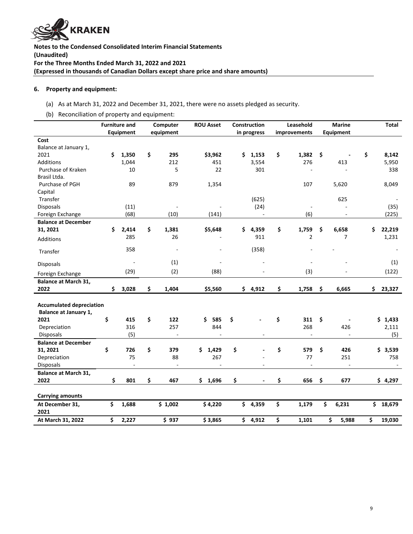

#### **6. Property and equipment:**

- (a) As at March 31, 2022 and December 31, 2021, there were no assets pledged as security.
- (b) Reconciliation of property and equipment:

|                                                                  |    | <b>Furniture and</b> | Computer    | <b>ROU Asset</b> |     | Construction | Leasehold    |           | <b>Marine</b>  | <b>Total</b> |
|------------------------------------------------------------------|----|----------------------|-------------|------------------|-----|--------------|--------------|-----------|----------------|--------------|
|                                                                  |    | Equipment            | equipment   |                  |     | in progress  | improvements | Equipment |                |              |
| Cost                                                             |    |                      |             |                  |     |              |              |           |                |              |
| Balance at January 1,                                            |    |                      |             |                  |     |              |              |           |                |              |
| 2021                                                             | \$ | 1,350                | \$<br>295   | \$3,962          | \$  | 1,153        | \$<br>1,382  | \$        |                | \$<br>8,142  |
| <b>Additions</b>                                                 |    | 1,044                | 212         | 451              |     | 3,554        | 276          |           | 413            | 5,950        |
| Purchase of Kraken                                               |    | 10                   | 5           | 22               |     | 301          |              |           |                | 338          |
| Brasil Ltda.                                                     |    |                      |             |                  |     |              |              |           |                |              |
| Purchase of PGH                                                  |    | 89                   | 879         | 1,354            |     |              | 107          |           | 5,620          | 8,049        |
| Capital                                                          |    |                      |             |                  |     |              |              |           |                |              |
| Transfer                                                         |    |                      |             |                  |     | (625)        |              |           | 625            |              |
| <b>Disposals</b>                                                 |    | (11)                 |             |                  |     | (24)         |              |           |                | (35)         |
| Foreign Exchange                                                 |    | (68)                 | (10)        | (141)            |     | ä,           | (6)          |           |                | (225)        |
| <b>Balance at December</b>                                       |    |                      |             |                  |     |              |              |           |                |              |
| 31, 2021                                                         | \$ | 2,414                | \$<br>1,381 | \$5,648          | Ś.  | 4,359        | \$<br>1,759  | \$        | 6,658          | \$<br>22,219 |
| Additions                                                        |    | 285                  | 26          |                  |     | 911          | 2            |           | $\overline{7}$ | 1,231        |
| Transfer                                                         |    | 358                  |             |                  |     | (358)        |              |           |                |              |
| Disposals                                                        |    |                      | (1)         |                  |     |              |              |           |                | (1)          |
| Foreign Exchange                                                 |    | (29)                 | (2)         | (88)             |     |              | (3)          |           |                | (122)        |
| <b>Balance at March 31,</b>                                      |    |                      |             |                  |     |              |              |           |                |              |
| 2022                                                             | Ś. | 3,028                | \$<br>1,404 | \$5,560          |     | \$4,912      | \$<br>1,758  | \$        | 6,665          | \$<br>23,327 |
| <b>Accumulated depreciation</b><br>Balance at January 1,<br>2021 | \$ | 415                  | \$<br>122   | 585<br>\$        | \$  |              | \$<br>311    | \$        |                | \$1,433      |
| Depreciation                                                     |    | 316                  | 257         | 844              |     |              | 268          |           | 426            | 2,111        |
| <b>Disposals</b>                                                 |    | (5)                  | L.          |                  |     |              | L.           |           |                | (5)          |
| <b>Balance at December</b>                                       |    |                      |             |                  |     |              |              |           |                |              |
| 31, 2021                                                         | \$ | 726                  | \$<br>379   | \$<br>1,429      | \$  |              | \$<br>579    | \$        | 426            | 3,539<br>\$. |
| Depreciation                                                     |    | 75                   | 88          | 267              |     |              | 77           |           | 251            | 758          |
| Disposals                                                        |    | ä,                   |             |                  |     |              |              |           |                |              |
| Balance at March 31,                                             |    |                      |             |                  |     |              |              |           |                |              |
| 2022                                                             | \$ | 801                  | \$<br>467   | 1,696<br>\$      | \$  |              | \$<br>656    | \$        | 677            | \$4,297      |
|                                                                  |    |                      |             |                  |     |              |              |           |                |              |
| <b>Carrying amounts</b>                                          |    |                      |             |                  |     |              |              |           |                |              |
| At December 31,                                                  | \$ | 1,688                | \$1,002     | \$4,220          | \$. | 4,359        | \$<br>1,179  | \$        | 6,231          | \$<br>18,679 |
| 2021                                                             |    |                      |             |                  |     |              |              |           |                |              |
| At March 31, 2022                                                | \$ | 2,227                | \$937       | \$3,865          |     | \$4,912      | \$<br>1,101  | \$        | 5,988          | \$<br>19,030 |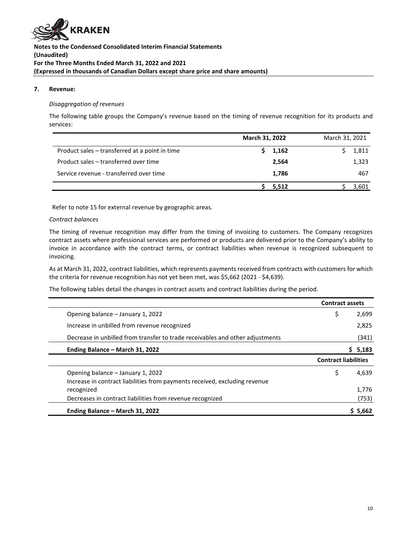

#### **7. Revenue:**

# *Disaggregation of revenues*

The following table groups the Company's revenue based on the timing of revenue recognition for its products and services:

|                                                | March 31, 2022 |       | March 31, 2021 |       |
|------------------------------------------------|----------------|-------|----------------|-------|
| Product sales - transferred at a point in time |                | 1,162 |                | 1,811 |
| Product sales – transferred over time          |                | 2.564 |                | 1,323 |
| Service revenue - transferred over time        |                | 1,786 |                | 467   |
|                                                |                | 5.512 |                | 3.601 |

Refer to note 15 for external revenue by geographic areas.

#### *Contract balances*

The timing of revenue recognition may differ from the timing of invoicing to customers. The Company recognizes contract assets where professional services are performed or products are delivered prior to the Company's ability to invoice in accordance with the contract terms, or contract liabilities when revenue is recognized subsequent to invoicing.

As at March 31, 2022, contract liabilities, which represents payments received from contracts with customers for which the criteria for revenue recognition has not yet been met, was \$5,662 (2021 - \$4,639).

The following tables detail the changes in contract assets and contract liabilities during the period.

|                                                                               | <b>Contract assets</b>      |             |
|-------------------------------------------------------------------------------|-----------------------------|-------------|
| Opening balance - January 1, 2022                                             | \$                          | 2,699       |
| Increase in unbilled from revenue recognized                                  |                             | 2,825       |
| Decrease in unbilled from transfer to trade receivables and other adjustments |                             | (341)       |
| Ending Balance - March 31, 2022                                               |                             | 5,183<br>S. |
|                                                                               | <b>Contract liabilities</b> |             |
| Opening balance – January 1, 2022                                             | \$                          | 4,639       |
| Increase in contract liabilities from payments received, excluding revenue    |                             |             |
| recognized                                                                    |                             | 1,776       |
| Decreases in contract liabilities from revenue recognized                     |                             | (753)       |
| Ending Balance - March 31, 2022                                               |                             | \$5,662     |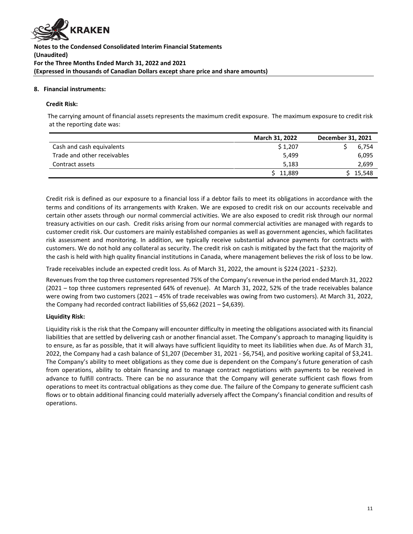

#### **8. Financial instruments:**

#### **Credit Risk:**

The carrying amount of financial assets represents the maximum credit exposure. The maximum exposure to credit risk at the reporting date was:

|                             | <b>March 31, 2022</b> | December 31, 2021 |
|-----------------------------|-----------------------|-------------------|
| Cash and cash equivalents   | \$1.207               | 6.754             |
| Trade and other receivables | 5.499                 | 6.095             |
| Contract assets             | 5,183                 | 2.699             |
|                             | \$11,889              | \$15.548          |

Credit risk is defined as our exposure to a financial loss if a debtor fails to meet its obligations in accordance with the terms and conditions of its arrangements with Kraken. We are exposed to credit risk on our accounts receivable and certain other assets through our normal commercial activities. We are also exposed to credit risk through our normal treasury activities on our cash. Credit risks arising from our normal commercial activities are managed with regards to customer credit risk. Our customers are mainly established companies as well as government agencies, which facilitates risk assessment and monitoring. In addition, we typically receive substantial advance payments for contracts with customers. We do not hold any collateral as security. The credit risk on cash is mitigated by the fact that the majority of the cash is held with high quality financial institutions in Canada, where management believes the risk of loss to be low.

Trade receivables include an expected credit loss. As of March 31, 2022, the amount is \$224 (2021 - \$232).

Revenues from the top three customers represented 75% of the Company's revenue in the period ended March 31, 2022 (2021 – top three customers represented 64% of revenue). At March 31, 2022, 52% of the trade receivables balance were owing from two customers (2021 – 45% of trade receivables was owing from two customers). At March 31, 2022, the Company had recorded contract liabilities of \$5,662 (2021 – \$4,639).

# **Liquidity Risk:**

Liquidity risk is the risk that the Company will encounter difficulty in meeting the obligations associated with its financial liabilities that are settled by delivering cash or another financial asset. The Company's approach to managing liquidity is to ensure, as far as possible, that it will always have sufficient liquidity to meet its liabilities when due. As of March 31, 2022, the Company had a cash balance of \$1,207 (December 31, 2021 - \$6,754), and positive working capital of \$3,241. The Company's ability to meet obligations as they come due is dependent on the Company's future generation of cash from operations, ability to obtain financing and to manage contract negotiations with payments to be received in advance to fulfill contracts. There can be no assurance that the Company will generate sufficient cash flows from operations to meet its contractual obligations as they come due. The failure of the Company to generate sufficient cash flows or to obtain additional financing could materially adversely affect the Company's financial condition and results of operations.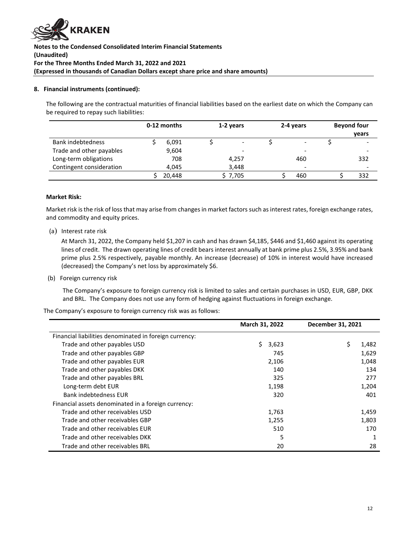

# **8. Financial instruments (continued):**

The following are the contractual maturities of financial liabilities based on the earliest date on which the Company can be required to repay such liabilities:

|                          | 0-12 months | 1-2 years                |  | 2-4 years                | <b>Beyond four</b> |                          |
|--------------------------|-------------|--------------------------|--|--------------------------|--------------------|--------------------------|
|                          |             |                          |  |                          |                    | years                    |
| Bank indebtedness        | 6,091       | $\overline{\phantom{a}}$ |  | $\overline{\phantom{a}}$ |                    |                          |
| Trade and other payables | 9,604       | $\overline{\phantom{a}}$ |  | $\overline{\phantom{0}}$ |                    |                          |
| Long-term obligations    | 708         | 4.257                    |  | 460                      |                    | 332                      |
| Contingent consideration | 4.045       | 3.448                    |  | $\overline{\phantom{0}}$ |                    | $\overline{\phantom{0}}$ |
|                          | 20.448      | \$ 7,705                 |  | 460                      |                    | 332                      |

#### **Market Risk:**

Market risk is the risk of loss that may arise from changes in market factors such as interest rates, foreign exchange rates, and commodity and equity prices.

(a) Interest rate risk

At March 31, 2022, the Company held \$1,207 in cash and has drawn \$4,185, \$446 and \$1,460 against its operating lines of credit. The drawn operating lines of credit bears interest annually at bank prime plus 2.5%, 3.95% and bank prime plus 2.5% respectively, payable monthly. An increase (decrease) of 10% in interest would have increased (decreased) the Company's net loss by approximately \$6.

(b) Foreign currency risk

The Company's exposure to foreign currency risk is limited to sales and certain purchases in USD, EUR, GBP, DKK and BRL. The Company does not use any form of hedging against fluctuations in foreign exchange.

The Company's exposure to foreign currency risk was as follows:

|                                                        | March 31, 2022 | December 31, 2021 |       |
|--------------------------------------------------------|----------------|-------------------|-------|
| Financial liabilities denominated in foreign currency: |                |                   |       |
| Trade and other payables USD                           | S.<br>3,623    | \$                | 1,482 |
| Trade and other payables GBP                           | 745            |                   | 1,629 |
| Trade and other payables EUR                           | 2,106          |                   | 1,048 |
| Trade and other payables DKK                           | 140            |                   | 134   |
| Trade and other payables BRL                           | 325            |                   | 277   |
| Long-term debt EUR                                     | 1,198          |                   | 1,204 |
| <b>Bank indebtedness EUR</b>                           | 320            |                   | 401   |
| Financial assets denominated in a foreign currency:    |                |                   |       |
| Trade and other receivables USD                        | 1,763          |                   | 1,459 |
| Trade and other receivables GBP                        | 1,255          |                   | 1,803 |
| Trade and other receivables EUR                        | 510            |                   | 170   |
| Trade and other receivables DKK                        | 5              |                   |       |
| Trade and other receivables BRL                        | 20             |                   | 28    |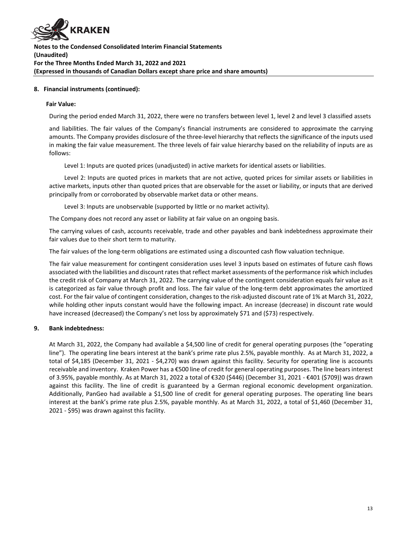

# **8. Financial instruments (continued):**

#### **Fair Value:**

During the period ended March 31, 2022, there were no transfers between level 1, level 2 and level 3 classified assets

and liabilities. The fair values of the Company's financial instruments are considered to approximate the carrying amounts. The Company provides disclosure of the three-level hierarchy that reflects the significance of the inputs used in making the fair value measurement. The three levels of fair value hierarchy based on the reliability of inputs are as follows:

Level 1: Inputs are quoted prices (unadjusted) in active markets for identical assets or liabilities.

Level 2: Inputs are quoted prices in markets that are not active, quoted prices for similar assets or liabilities in active markets, inputs other than quoted prices that are observable for the asset or liability, or inputs that are derived principally from or corroborated by observable market data or other means.

Level 3: Inputs are unobservable (supported by little or no market activity).

The Company does not record any asset or liability at fair value on an ongoing basis.

The carrying values of cash, accounts receivable, trade and other payables and bank indebtedness approximate their fair values due to their short term to maturity.

The fair values of the long-term obligations are estimated using a discounted cash flow valuation technique.

The fair value measurement for contingent consideration uses level 3 inputs based on estimates of future cash flows associated with the liabilities and discount rates that reflect market assessments of the performance risk which includes the credit risk of Company at March 31, 2022. The carrying value of the contingent consideration equals fair value as it is categorized as fair value through profit and loss. The fair value of the long-term debt approximates the amortized cost. For the fair value of contingent consideration, changes to the risk-adjusted discount rate of 1% at March 31, 2022, while holding other inputs constant would have the following impact. An increase (decrease) in discount rate would have increased (decreased) the Company's net loss by approximately \$71 and (\$73) respectively.

# **9. Bank indebtedness:**

At March 31, 2022, the Company had available a \$4,500 line of credit for general operating purposes (the "operating line"). The operating line bears interest at the bank's prime rate plus 2.5%, payable monthly. As at March 31, 2022, a total of \$4,185 (December 31, 2021 - \$4,270) was drawn against this facility. Security for operating line is accounts receivable and inventory. Kraken Power has a €500 line of credit for general operating purposes. The line bears interest of 3.95%, payable monthly. As at March 31, 2022 a total of €320 (\$446) (December 31, 2021 - €401 (\$709)) was drawn against this facility. The line of credit is guaranteed by a German regional economic development organization. Additionally, PanGeo had available a \$1,500 line of credit for general operating purposes. The operating line bears interest at the bank's prime rate plus 2.5%, payable monthly. As at March 31, 2022, a total of \$1,460 (December 31, 2021 - \$95) was drawn against this facility.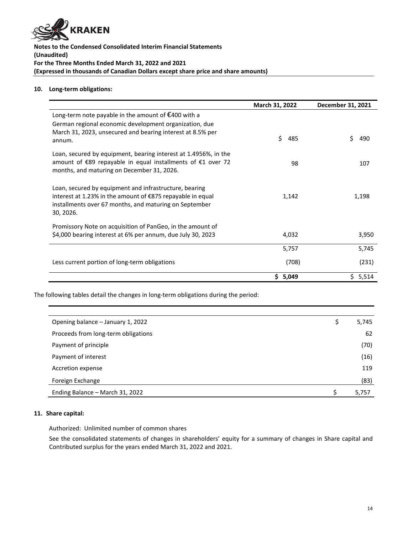

# **10. Long-term obligations:**

|                                                                                                                                                                                                 | March 31, 2022 | December 31, 2021 |
|-------------------------------------------------------------------------------------------------------------------------------------------------------------------------------------------------|----------------|-------------------|
| Long-term note payable in the amount of $\epsilon$ 400 with a<br>German regional economic development organization, due<br>March 31, 2023, unsecured and bearing interest at 8.5% per<br>annum. | Ś.<br>485      | Ś<br>490          |
| Loan, secured by equipment, bearing interest at 1.4956%, in the<br>amount of €89 repayable in equal installments of €1 over 72<br>months, and maturing on December 31, 2026.                    | 98             | 107               |
| Loan, secured by equipment and infrastructure, bearing<br>interest at 1.23% in the amount of €875 repayable in equal<br>installments over 67 months, and maturing on September<br>30, 2026.     | 1,142          | 1,198             |
| Promissory Note on acquisition of PanGeo, in the amount of<br>\$4,000 bearing interest at 6% per annum, due July 30, 2023                                                                       | 4,032          | 3,950             |
|                                                                                                                                                                                                 | 5,757          | 5,745             |
| Less current portion of long-term obligations                                                                                                                                                   | (708)          | (231)             |
|                                                                                                                                                                                                 | \$5,049        | Ŝ.<br>5,514       |

The following tables detail the changes in long-term obligations during the period:

| Opening balance - January 1, 2022   | \$<br>5,745 |
|-------------------------------------|-------------|
| Proceeds from long-term obligations | 62          |
| Payment of principle                | (70)        |
| Payment of interest                 | (16)        |
| Accretion expense                   | 119         |
| Foreign Exchange                    | (83)        |
| Ending Balance - March 31, 2022     | 5,757       |

# **11. Share capital:**

Authorized: Unlimited number of common shares

See the consolidated statements of changes in shareholders' equity for a summary of changes in Share capital and Contributed surplus for the years ended March 31, 2022 and 2021.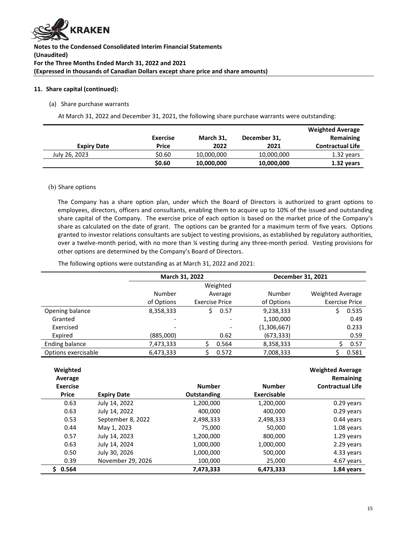

#### **11. Share capital (continued):**

#### (a) Share purchase warrants

At March 31, 2022 and December 31, 2021, the following share purchase warrants were outstanding:

|                    |                 |            |              | <b>Weighted Average</b> |
|--------------------|-----------------|------------|--------------|-------------------------|
|                    | <b>Exercise</b> | March 31,  | December 31, | Remaining               |
| <b>Expiry Date</b> | Price           | 2022       | 2021         | <b>Contractual Life</b> |
| July 26, 2023      | \$0.60          | 10,000,000 | 10,000,000   | 1.32 years              |
|                    | \$0.60          | 10,000,000 | 10,000,000   | 1.32 years              |

#### (b) Share options

The Company has a share option plan, under which the Board of Directors is authorized to grant options to employees, directors, officers and consultants, enabling them to acquire up to 10% of the issued and outstanding share capital of the Company. The exercise price of each option is based on the market price of the Company's share as calculated on the date of grant. The options can be granted for a maximum term of five years. Options granted to investor relations consultants are subject to vesting provisions, as established by regulatory authorities, over a twelve-month period, with no more than ¼ vesting during any three-month period. Vesting provisions for other options are determined by the Company's Board of Directors.

The following options were outstanding as at March 31, 2022 and 2021:

|                     | March 31, 2022 |                       | December 31, 2021 |                         |  |
|---------------------|----------------|-----------------------|-------------------|-------------------------|--|
|                     |                | Weighted              |                   |                         |  |
|                     | Number         | Average               | Number            | <b>Weighted Average</b> |  |
|                     | of Options     | <b>Exercise Price</b> | of Options        | <b>Exercise Price</b>   |  |
| Opening balance     | 8,358,333      | 0.57<br>S.            | 9,238,333         | 0.535<br>Ś              |  |
| Granted             |                | ۰                     | 1,100,000         | 0.49                    |  |
| Exercised           |                | -                     | (1,306,667)       | 0.233                   |  |
| Expired             | (885,000)      | 0.62                  | (673, 333)        | 0.59                    |  |
| Ending balance      | 7,473,333      | 0.564                 | 8,358,333         | 0.57                    |  |
| Options exercisable | 6,473,333      | 0.572                 | 7,008,333         | 0.581                   |  |

| Weighted<br>Average |                    |                    |               | <b>Weighted Average</b><br>Remaining |
|---------------------|--------------------|--------------------|---------------|--------------------------------------|
| <b>Exercise</b>     |                    | <b>Number</b>      | <b>Number</b> | <b>Contractual Life</b>              |
| <b>Price</b>        | <b>Expiry Date</b> | <b>Outstanding</b> | Exercisable   |                                      |
| 0.63                | July 14, 2022      | 1,200,000          | 1,200,000     | 0.29 years                           |
| 0.63                | July 14, 2022      | 400,000            | 400,000       | 0.29 years                           |
| 0.53                | September 8, 2022  | 2,498,333          | 2,498,333     | $0.44$ years                         |
| 0.44                | May 1, 2023        | 75,000             | 50,000        | 1.08 years                           |
| 0.57                | July 14, 2023      | 1,200,000          | 800,000       | 1.29 years                           |
| 0.63                | July 14, 2024      | 1,000,000          | 1,000,000     | 2.29 years                           |
| 0.50                | July 30, 2026      | 1,000,000          | 500,000       | 4.33 years                           |
| 0.39                | November 29, 2026  | 100,000            | 25,000        | 4.67 years                           |
| 0.564               |                    | 7,473,333          | 6,473,333     | 1.84 years                           |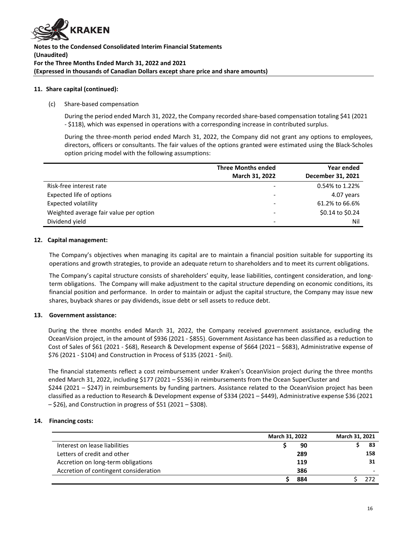

#### **11. Share capital (continued):**

#### (c) Share-based compensation

During the period ended March 31, 2022, the Company recorded share-based compensation totaling \$41 (2021 - \$118), which was expensed in operations with a corresponding increase in contributed surplus.

During the three-month period ended March 31, 2022, the Company did not grant any options to employees, directors, officers or consultants. The fair values of the options granted were estimated using the Black-Scholes option pricing model with the following assumptions:

|                                        | <b>Three Months ended</b> | Year ended        |
|----------------------------------------|---------------------------|-------------------|
|                                        | March 31, 2022            | December 31, 2021 |
| Risk-free interest rate                |                           | 0.54% to 1.22%    |
| Expected life of options               |                           | 4.07 years        |
| <b>Expected volatility</b>             |                           | 61.2% to 66.6%    |
| Weighted average fair value per option |                           | \$0.14 to \$0.24  |
| Dividend yield                         |                           | Nil               |

#### **12. Capital management:**

The Company's objectives when managing its capital are to maintain a financial position suitable for supporting its operations and growth strategies, to provide an adequate return to shareholders and to meet its current obligations.

The Company's capital structure consists of shareholders' equity, lease liabilities, contingent consideration, and longterm obligations. The Company will make adjustment to the capital structure depending on economic conditions, its financial position and performance. In order to maintain or adjust the capital structure, the Company may issue new shares, buyback shares or pay dividends, issue debt or sell assets to reduce debt.

# **13. Government assistance:**

During the three months ended March 31, 2022, the Company received government assistance, excluding the OceanVision project, in the amount of \$936 (2021 - \$855). Government Assistance has been classified as a reduction to Cost of Sales of \$61 (2021 - \$68), Research & Development expense of \$664 (2021 – \$683), Administrative expense of \$76 (2021 - \$104) and Construction in Process of \$135 (2021 - \$nil).

The financial statements reflect a cost reimbursement under Kraken's OceanVision project during the three months ended March 31, 2022, including \$177 (2021 – \$536) in reimbursements from the Ocean SuperCluster and \$244 (2021 – \$247) in reimbursements by funding partners. Assistance related to the OceanVision project has been classified as a reduction to Research & Development expense of \$334 (2021 – \$449), Administrative expense \$36 (2021 – \$26), and Construction in progress of \$51 (2021 – \$308).

# **14. Financing costs:**

|                                       | March 31, 2022 |     | March 31, 2021 |     |
|---------------------------------------|----------------|-----|----------------|-----|
| Interest on lease liabilities         |                | 90  |                | 83  |
| Letters of credit and other           | 289            |     |                | 158 |
| Accretion on long-term obligations    |                | 119 |                | 31  |
| Accretion of contingent consideration | 386            |     |                |     |
|                                       | 884            |     |                |     |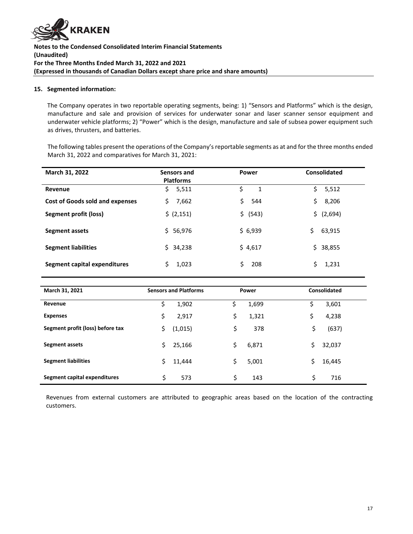

# **15. Segmented information:**

The Company operates in two reportable operating segments, being: 1) "Sensors and Platforms" which is the design, manufacture and sale and provision of services for underwater sonar and laser scanner sensor equipment and underwater vehicle platforms; 2) "Power" which is the design, manufacture and sale of subsea power equipment such as drives, thrusters, and batteries.

The following tables present the operations of the Company's reportable segments as at and for the three months ended March 31, 2022 and comparatives for March 31, 2021:

| March 31, 2022                         | Sensors and<br><b>Platforms</b> | <b>Power</b> | Consolidated  |
|----------------------------------------|---------------------------------|--------------|---------------|
| Revenue                                | 5,511<br>\$.                    | \$<br>1      | Ś.<br>5,512   |
| <b>Cost of Goods sold and expenses</b> | 7,662<br>\$.                    | Ś.<br>544    | 8,206<br>\$   |
| Segment profit (loss)                  | \$ (2,151)                      | \$ (543)     | (2,694)<br>\$ |
| Segment assets                         | \$56,976                        | \$6,939      | \$.<br>63,915 |
| <b>Segment liabilities</b>             | \$34,238                        | \$4,617      | \$38,855      |
| Segment capital expenditures           | 1,023                           | Ś.<br>208    | Ś.<br>1,231   |

| March 31, 2021                   |    | <b>Sensors and Platforms</b> | Power       | Consolidated |  |
|----------------------------------|----|------------------------------|-------------|--------------|--|
| Revenue                          | \$ | 1,902                        | \$<br>1,699 | \$<br>3,601  |  |
| <b>Expenses</b>                  | \$ | 2,917                        | \$<br>1,321 | \$<br>4,238  |  |
| Segment profit (loss) before tax | \$ | (1,015)                      | \$<br>378   | \$<br>(637)  |  |
| <b>Segment assets</b>            | \$ | 25,166                       | \$<br>6,871 | \$<br>32,037 |  |
| <b>Segment liabilities</b>       | Ś  | 11,444                       | \$<br>5,001 | \$<br>16,445 |  |
| Segment capital expenditures     | \$ | 573                          | \$<br>143   | \$<br>716    |  |

Revenues from external customers are attributed to geographic areas based on the location of the contracting customers.